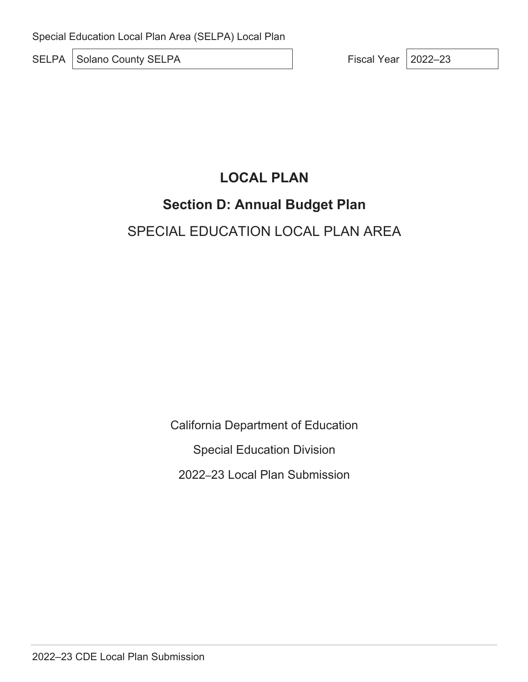SELPA Solano County SELPA Fiscal Year 2022–23

# **LOCAL PLAN**

## **Section D: Annual Budget Plan**

# SPECIAL EDUCATION LOCAL PLAN AREA

California Department of Education Special Education Division 2022–23 Local Plan Submission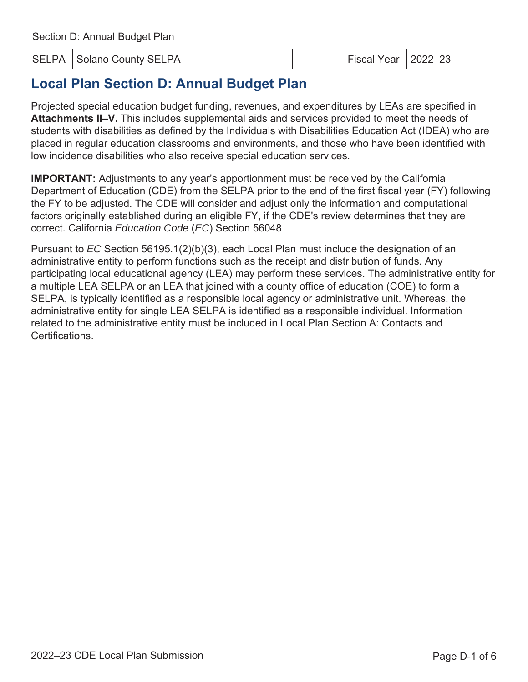SELPA Solano County SELPA Fiscal Year 2022–23

## **Local Plan Section D: Annual Budget Plan**

Projected special education budget funding, revenues, and expenditures by LEAs are specified in **Attachments II–V.** This includes supplemental aids and services provided to meet the needs of students with disabilities as defined by the Individuals with Disabilities Education Act (IDEA) who are placed in regular education classrooms and environments, and those who have been identified with low incidence disabilities who also receive special education services.

**IMPORTANT:** Adjustments to any year's apportionment must be received by the California Department of Education (CDE) from the SELPA prior to the end of the first fiscal year (FY) following the FY to be adjusted. The CDE will consider and adjust only the information and computational factors originally established during an eligible FY, if the CDE's review determines that they are correct. California *Education Code* (*EC*) Section 56048

Pursuant to *EC* Section 56195.1(2)(b)(3), each Local Plan must include the designation of an administrative entity to perform functions such as the receipt and distribution of funds. Any participating local educational agency (LEA) may perform these services. The administrative entity for a multiple LEA SELPA or an LEA that joined with a county office of education (COE) to form a SELPA, is typically identified as a responsible local agency or administrative unit. Whereas, the administrative entity for single LEA SELPA is identified as a responsible individual. Information related to the administrative entity must be included in Local Plan Section A: Contacts and Certifications.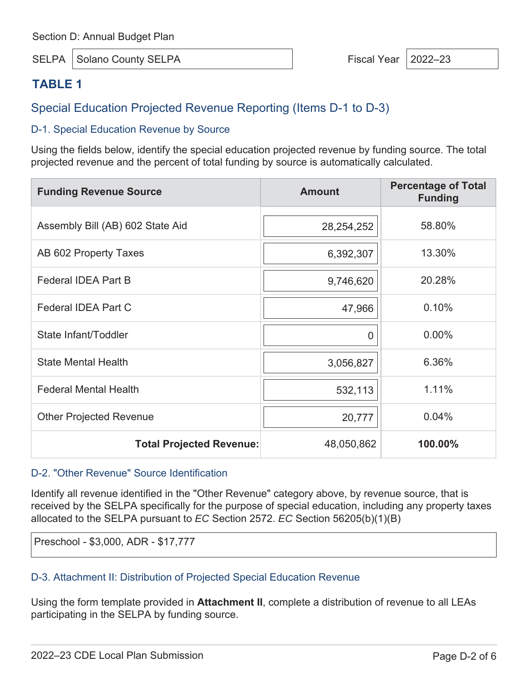SELPA Solano County SELPA Fiscal Year 2022–23

## **TABLE 1**

## Special Education Projected Revenue Reporting (Items D-1 to D-3)

#### D-1. Special Education Revenue by Source

Using the fields below, identify the special education projected revenue by funding source. The total projected revenue and the percent of total funding by source is automatically calculated.

| <b>Funding Revenue Source</b>    | <b>Amount</b> | <b>Percentage of Total</b><br><b>Funding</b> |
|----------------------------------|---------------|----------------------------------------------|
| Assembly Bill (AB) 602 State Aid | 28,254,252    | 58.80%                                       |
| AB 602 Property Taxes            | 6,392,307     | 13.30%                                       |
| <b>Federal IDEA Part B</b>       | 9,746,620     | 20.28%                                       |
| Federal IDEA Part C              | 47,966        | 0.10%                                        |
| State Infant/Toddler             | 0             | $0.00\%$                                     |
| <b>State Mental Health</b>       | 3,056,827     | 6.36%                                        |
| <b>Federal Mental Health</b>     | 532,113       | 1.11%                                        |
| <b>Other Projected Revenue</b>   | 20,777        | 0.04%                                        |
| <b>Total Projected Revenue:</b>  | 48,050,862    | 100.00%                                      |

#### D-2. "Other Revenue" Source Identification

Identify all revenue identified in the "Other Revenue" category above, by revenue source, that is received by the SELPA specifically for the purpose of special education, including any property taxes allocated to the SELPA pursuant to *EC* Section 2572. *EC* Section 56205(b)(1)(B)

Preschool - \$3,000, ADR - \$17,777

#### D-3. Attachment II: Distribution of Projected Special Education Revenue

Using the form template provided in **Attachment II**, complete a distribution of revenue to all LEAs participating in the SELPA by funding source.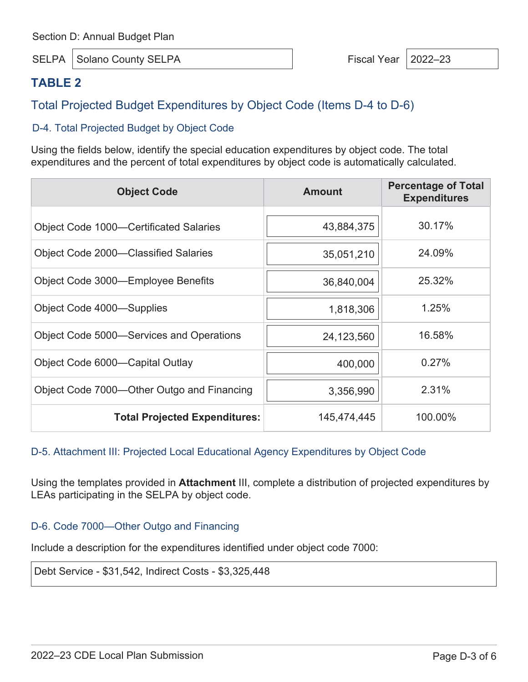SELPA Solano County SELPA Fiscal Year 2022–23

## **TABLE 2**

## Total Projected Budget Expenditures by Object Code (Items D-4 to D-6)

#### D-4. Total Projected Budget by Object Code

Using the fields below, identify the special education expenditures by object code. The total expenditures and the percent of total expenditures by object code is automatically calculated.

| <b>Object Code</b>                            | <b>Amount</b> | <b>Percentage of Total</b><br><b>Expenditures</b> |
|-----------------------------------------------|---------------|---------------------------------------------------|
|                                               |               |                                                   |
| <b>Object Code 1000–Certificated Salaries</b> | 43,884,375    | 30.17%                                            |
| Object Code 2000-Classified Salaries          | 35,051,210    | 24.09%                                            |
| Object Code 3000-Employee Benefits            | 36,840,004    | 25.32%                                            |
| Object Code 4000—Supplies                     | 1,818,306     | 1.25%                                             |
| Object Code 5000—Services and Operations      | 24,123,560    | 16.58%                                            |
| Object Code 6000—Capital Outlay               | 400,000       | 0.27%                                             |
| Object Code 7000—Other Outgo and Financing    | 3,356,990     | 2.31%                                             |
| <b>Total Projected Expenditures:</b>          | 145,474,445   | 100.00%                                           |

#### D-5. Attachment III: Projected Local Educational Agency Expenditures by Object Code

Using the templates provided in **Attachment** III, complete a distribution of projected expenditures by LEAs participating in the SELPA by object code.

#### D-6. Code 7000—Other Outgo and Financing

Include a description for the expenditures identified under object code 7000:

Debt Service - \$31,542, Indirect Costs - \$3,325,448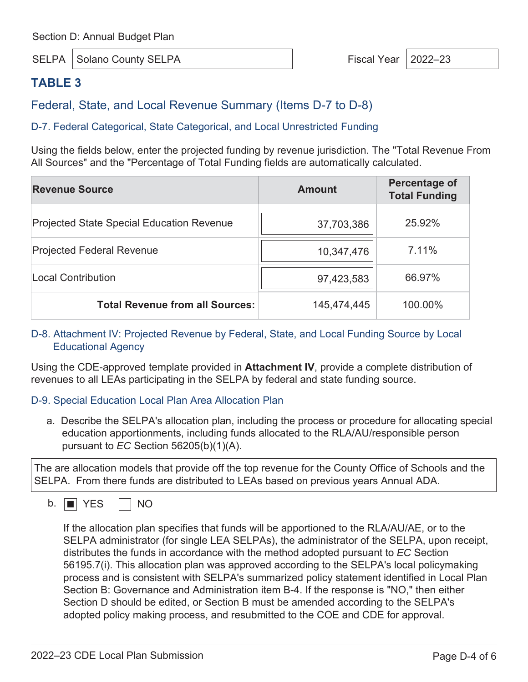SELPA Solano County SELPA Fiscal Year 2022–23

## **TABLE 3**

Federal, State, and Local Revenue Summary (Items D-7 to D-8)

#### D-7. Federal Categorical, State Categorical, and Local Unrestricted Funding

Using the fields below, enter the projected funding by revenue jurisdiction. The "Total Revenue From All Sources" and the "Percentage of Total Funding fields are automatically calculated.

| <b>Revenue Source</b>                            | <b>Amount</b> | Percentage of<br><b>Total Funding</b> |
|--------------------------------------------------|---------------|---------------------------------------|
| <b>Projected State Special Education Revenue</b> | 37,703,386    | 25.92%                                |
| <b>Projected Federal Revenue</b>                 | 10,347,476    | 7.11%                                 |
| <b>Local Contribution</b>                        | 97,423,583    | 66.97%                                |
| <b>Total Revenue from all Sources:</b>           | 145,474,445   | 100.00%                               |

#### D-8. Attachment IV: Projected Revenue by Federal, State, and Local Funding Source by Local Educational Agency

Using the CDE-approved template provided in **Attachment IV**, provide a complete distribution of revenues to all LEAs participating in the SELPA by federal and state funding source.

#### D-9. Special Education Local Plan Area Allocation Plan

a. Describe the SELPA's allocation plan, including the process or procedure for allocating special education apportionments, including funds allocated to the RLA/AU/responsible person pursuant to *EC* Section 56205(b)(1)(A).

The are allocation models that provide off the top revenue for the County Office of Schools and the SELPA. From there funds are distributed to LEAs based on previous years Annual ADA.

 $b.$  **No** YES  $\Box$  NO

If the allocation plan specifies that funds will be apportioned to the RLA/AU/AE, or to the SELPA administrator (for single LEA SELPAs), the administrator of the SELPA, upon receipt, distributes the funds in accordance with the method adopted pursuant to *EC* Section 56195.7(i). This allocation plan was approved according to the SELPA's local policymaking process and is consistent with SELPA's summarized policy statement identified in Local Plan Section B: Governance and Administration item B-4. If the response is "NO," then either Section D should be edited, or Section B must be amended according to the SELPA's adopted policy making process, and resubmitted to the COE and CDE for approval.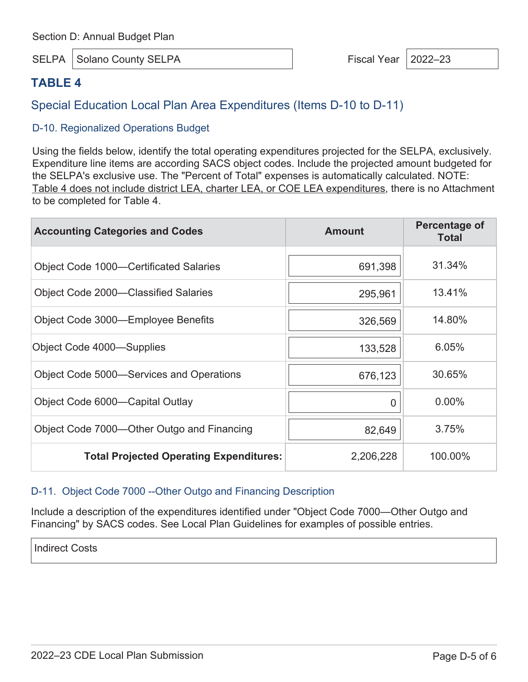SELPA Solano County SELPA Fiscal Year 2022–23

### **TABLE 4**

Special Education Local Plan Area Expenditures (Items D-10 to D-11)

#### D-10. Regionalized Operations Budget

Using the fields below, identify the total operating expenditures projected for the SELPA, exclusively. Expenditure line items are according SACS object codes. Include the projected amount budgeted for the SELPA's exclusive use. The "Percent of Total" expenses is automatically calculated. NOTE: Table 4 does not include district LEA, charter LEA, or COE LEA expenditures, there is no Attachment to be completed for Table 4.

| <b>Accounting Categories and Codes</b>         | <b>Amount</b> | Percentage of<br><b>Total</b> |
|------------------------------------------------|---------------|-------------------------------|
| <b>Object Code 1000-Certificated Salaries</b>  | 691,398       | 31.34%                        |
| <b>Object Code 2000-Classified Salaries</b>    | 295,961       | 13.41%                        |
| Object Code 3000-Employee Benefits             | 326,569       | 14.80%                        |
| Object Code 4000—Supplies                      | 133,528       | 6.05%                         |
| Object Code 5000—Services and Operations       | 676,123       | 30.65%                        |
| Object Code 6000—Capital Outlay                | O             | $0.00\%$                      |
| Object Code 7000—Other Outgo and Financing     | 82,649        | 3.75%                         |
| <b>Total Projected Operating Expenditures:</b> | 2,206,228     | 100.00%                       |

#### D-11. Object Code 7000 --Other Outgo and Financing Description

Include a description of the expenditures identified under "Object Code 7000—Other Outgo and Financing" by SACS codes. See Local Plan Guidelines for examples of possible entries.

Indirect Costs